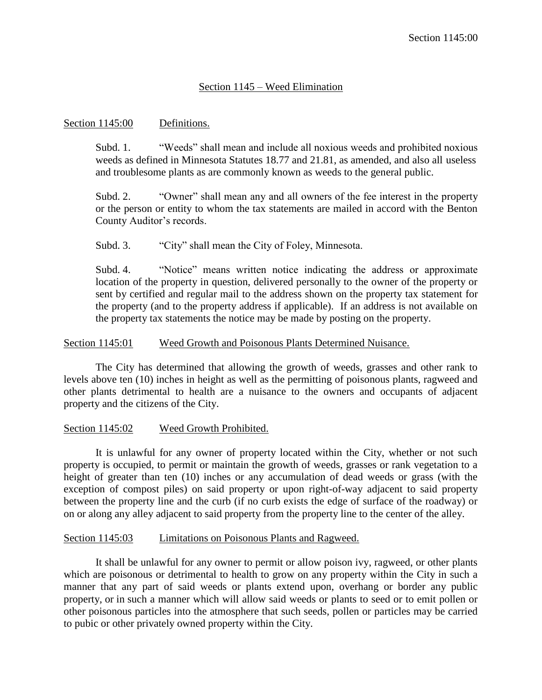# Section 1145 – Weed Elimination

### Section 1145:00 Definitions.

Subd. 1. "Weeds" shall mean and include all noxious weeds and prohibited noxious weeds as defined in Minnesota Statutes 18.77 and 21.81, as amended, and also all useless and troublesome plants as are commonly known as weeds to the general public.

Subd. 2. "Owner" shall mean any and all owners of the fee interest in the property or the person or entity to whom the tax statements are mailed in accord with the Benton County Auditor's records.

Subd. 3. "City" shall mean the City of Foley, Minnesota.

Subd. 4. "Notice" means written notice indicating the address or approximate location of the property in question, delivered personally to the owner of the property or sent by certified and regular mail to the address shown on the property tax statement for the property (and to the property address if applicable). If an address is not available on the property tax statements the notice may be made by posting on the property.

### Section 1145:01 Weed Growth and Poisonous Plants Determined Nuisance.

The City has determined that allowing the growth of weeds, grasses and other rank to levels above ten (10) inches in height as well as the permitting of poisonous plants, ragweed and other plants detrimental to health are a nuisance to the owners and occupants of adjacent property and the citizens of the City.

# Section 1145:02 Weed Growth Prohibited.

It is unlawful for any owner of property located within the City, whether or not such property is occupied, to permit or maintain the growth of weeds, grasses or rank vegetation to a height of greater than ten (10) inches or any accumulation of dead weeds or grass (with the exception of compost piles) on said property or upon right-of-way adjacent to said property between the property line and the curb (if no curb exists the edge of surface of the roadway) or on or along any alley adjacent to said property from the property line to the center of the alley.

#### Section 1145:03 Limitations on Poisonous Plants and Ragweed.

It shall be unlawful for any owner to permit or allow poison ivy, ragweed, or other plants which are poisonous or detrimental to health to grow on any property within the City in such a manner that any part of said weeds or plants extend upon, overhang or border any public property, or in such a manner which will allow said weeds or plants to seed or to emit pollen or other poisonous particles into the atmosphere that such seeds, pollen or particles may be carried to pubic or other privately owned property within the City.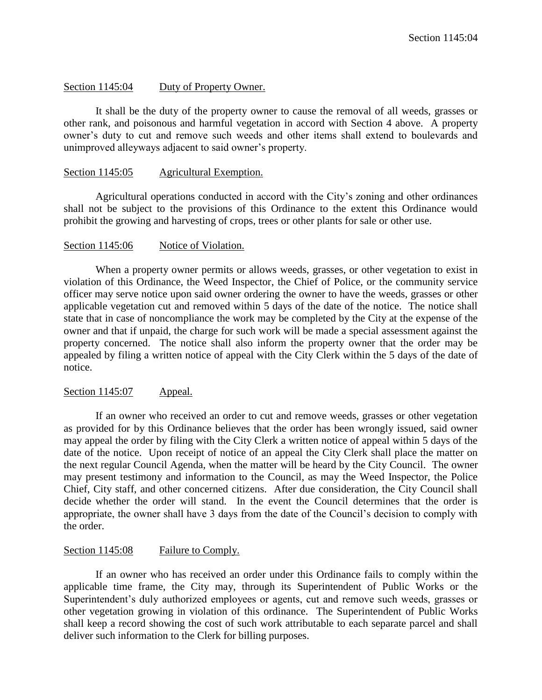## Section 1145:04 Duty of Property Owner.

It shall be the duty of the property owner to cause the removal of all weeds, grasses or other rank, and poisonous and harmful vegetation in accord with Section 4 above. A property owner's duty to cut and remove such weeds and other items shall extend to boulevards and unimproved alleyways adjacent to said owner's property.

### Section 1145:05 Agricultural Exemption.

Agricultural operations conducted in accord with the City's zoning and other ordinances shall not be subject to the provisions of this Ordinance to the extent this Ordinance would prohibit the growing and harvesting of crops, trees or other plants for sale or other use.

### Section 1145:06 Notice of Violation.

When a property owner permits or allows weeds, grasses, or other vegetation to exist in violation of this Ordinance, the Weed Inspector, the Chief of Police, or the community service officer may serve notice upon said owner ordering the owner to have the weeds, grasses or other applicable vegetation cut and removed within 5 days of the date of the notice. The notice shall state that in case of noncompliance the work may be completed by the City at the expense of the owner and that if unpaid, the charge for such work will be made a special assessment against the property concerned. The notice shall also inform the property owner that the order may be appealed by filing a written notice of appeal with the City Clerk within the 5 days of the date of notice.

#### Section 1145:07 Appeal.

If an owner who received an order to cut and remove weeds, grasses or other vegetation as provided for by this Ordinance believes that the order has been wrongly issued, said owner may appeal the order by filing with the City Clerk a written notice of appeal within 5 days of the date of the notice. Upon receipt of notice of an appeal the City Clerk shall place the matter on the next regular Council Agenda, when the matter will be heard by the City Council. The owner may present testimony and information to the Council, as may the Weed Inspector, the Police Chief, City staff, and other concerned citizens. After due consideration, the City Council shall decide whether the order will stand. In the event the Council determines that the order is appropriate, the owner shall have 3 days from the date of the Council's decision to comply with the order.

# Section 1145:08 Failure to Comply.

If an owner who has received an order under this Ordinance fails to comply within the applicable time frame, the City may, through its Superintendent of Public Works or the Superintendent's duly authorized employees or agents, cut and remove such weeds, grasses or other vegetation growing in violation of this ordinance. The Superintendent of Public Works shall keep a record showing the cost of such work attributable to each separate parcel and shall deliver such information to the Clerk for billing purposes.